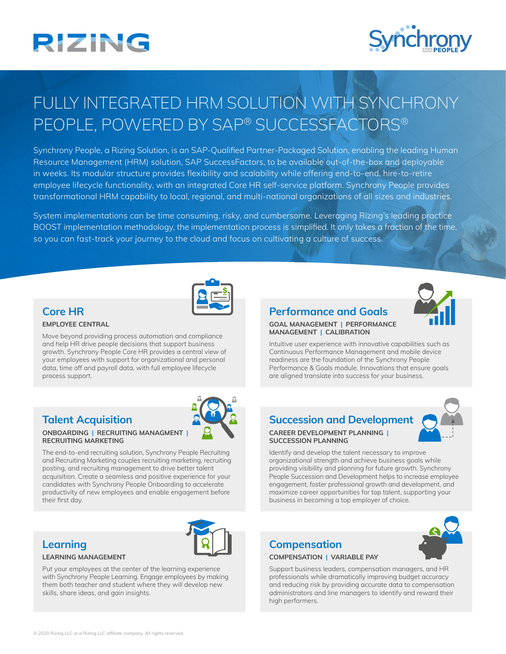# **RIZING**



## FULLY INTEGRATED HRM SOLUTION WITH SYNCHRONY PEOPLE, POWERED BY SAP® SUCCESSFACTORS®

Synchrony People, a Rizing Solution, is an SAP-Qualified Partner-Packaged Solution, enabling the leading Human Resource Management (HRM) solution, SAP SuccessFactors, to be available out-of-the-box and deployable in weeks. Its modular structure provides flexibility and scalability while offering end-to-end, hire-to-retire employee lifecycle functionality, with an integrated Core HR self-service platform. Synchrony People provides transformational HRM capability to local, regional, and multi-national organizations of all sizes and industries.

System implementations can be time consuming, risky, and cumbersome. Leveraging Rizing's leading practice BOOST implementation methodology, the implementation process is simplified. It only takes a fraction of the time, so you can fast-track your journey to the cloud and focus on cultivating a culture of success.



### **Core HR**

### **EMPLOYEE CENTRAL**

Move beyond providing process automation and compliance and help HR drive people decisions that support business growth. Synchrony People Core HR provides a central view of your employees with support for organizational and personal data, time off and payroll data, with full employee lifecycle process support.

### **Talent Acquisition**

#### **ONBOARDING | RECRUITING MANAGMENT | RECRUITING MARKETING**

The end-to-end recruiting solution, Synchrony People Recruiting and Recruiting Marketing couples recruiting marketing, recruiting posting, and recruiting management to drive better talent acquisition. Create a seamless and positive experience for your candidates with Synchrony People Onboarding to accelerate productivity of new employees and enable engagement before their first day.

### **Learning**

#### **LEARNING MANAGEMENT**

Put your employees at the center of the learning experience with Synchrony People Learning. Engage employees by making them both teacher and student where they will develop new skills, share ideas, and gain insights.



### **Performance and Goals**



#### **GOAL MANAGEMENT | PERFORMANCE MANAGEMENT | CALIBRATION**

Intuitive user experience with innovative capabilities such as Continuous Performance Management and mobile device readiness are the foundation of the Synchrony People Performance & Goals module. Innovations that ensure goals are aligned translate into success for your business.

## **Succession and Development**



### **CAREER DEVELOPMENT PLANNING | SUCCESSION PLANNING**

Identify and develop the talent necessary to improve organizational strength and achieve business goals while providing visibility and planning for future growth. Synchrony People Succession and Development helps to increase employee engagement, foster professional growth and development, and maximize career opportunities for top talent, supporting your business in becoming a top employer of choice.

### **Compensation**

### **COMPENSATION | VARIABLE PAY**

Support business leaders, compensation managers, and HR professionals while dramatically improving budget accuracy and reducing risk by providing accurate data to compensation administrators and line managers to identify and reward their high performers.